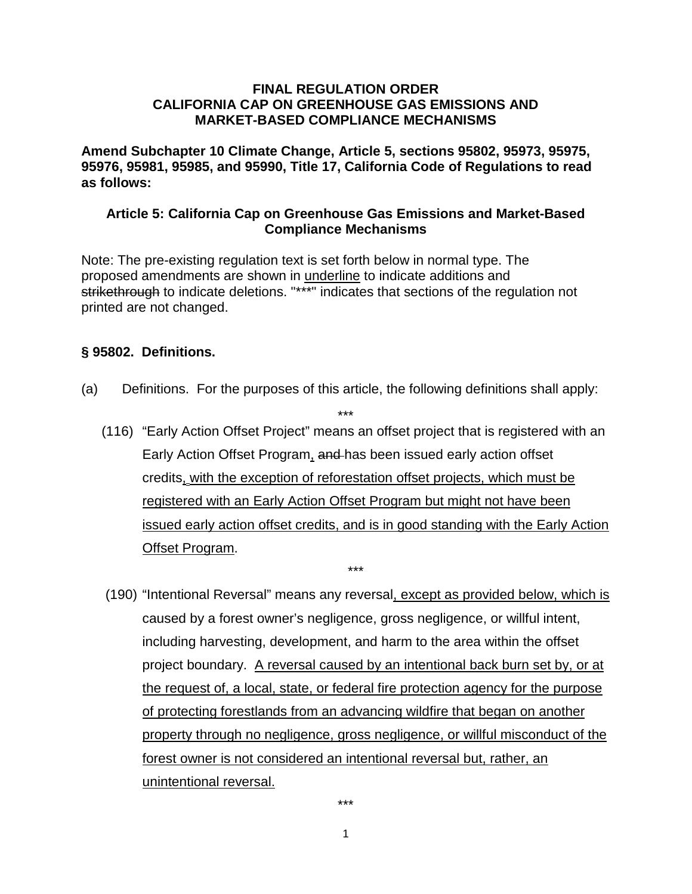#### **FINAL REGULATION ORDER CALIFORNIA CAP ON GREENHOUSE GAS EMISSIONS AND MARKET-BASED COMPLIANCE MECHANISMS**

**Amend Subchapter 10 Climate Change, Article 5, sections 95802, 95973, 95975, 95976, 95981, 95985, and 95990, Title 17, California Code of Regulations to read as follows:**

### **Article 5: California Cap on Greenhouse Gas Emissions and Market-Based Compliance Mechanisms**

Note: The pre-existing regulation text is set forth below in normal type. The proposed amendments are shown in underline to indicate additions and strikethrough to indicate deletions. "\*\*\*" indicates that sections of the regulation not printed are not changed.

### **§ 95802. Definitions.**

(a) Definitions. For the purposes of this article, the following definitions shall apply:

\*\*\*

(116) "Early Action Offset Project" means an offset project that is registered with an Early Action Offset Program, and has been issued early action offset credits, with the exception of reforestation offset projects, which must be registered with an Early Action Offset Program but might not have been issued early action offset credits, and is in good standing with the Early Action Offset Program.

\*\*\*

(190) "Intentional Reversal" means any reversal, except as provided below, which is caused by a forest owner's negligence, gross negligence, or willful intent, including harvesting, development, and harm to the area within the offset project boundary. A reversal caused by an intentional back burn set by, or at the request of, a local, state, or federal fire protection agency for the purpose of protecting forestlands from an advancing wildfire that began on another property through no negligence, gross negligence, or willful misconduct of the forest owner is not considered an intentional reversal but, rather, an unintentional reversal.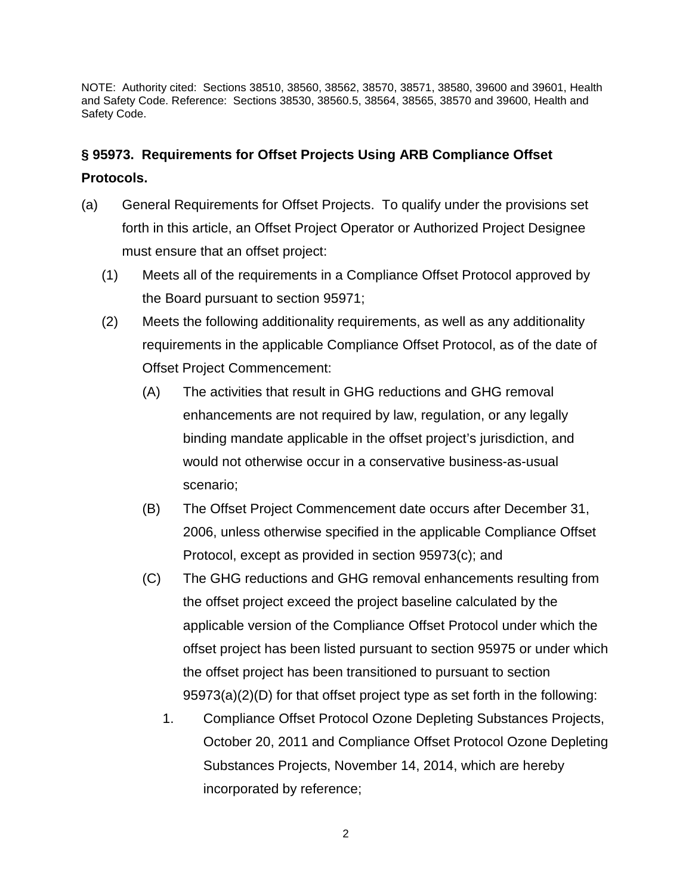## **§ 95973. Requirements for Offset Projects Using ARB Compliance Offset Protocols.**

- (a) General Requirements for Offset Projects. To qualify under the provisions set forth in this article, an Offset Project Operator or Authorized Project Designee must ensure that an offset project:
	- (1) Meets all of the requirements in a Compliance Offset Protocol approved by the Board pursuant to section 95971;
	- (2) Meets the following additionality requirements, as well as any additionality requirements in the applicable Compliance Offset Protocol, as of the date of Offset Project Commencement:
		- (A) The activities that result in GHG reductions and GHG removal enhancements are not required by law, regulation, or any legally binding mandate applicable in the offset project's jurisdiction, and would not otherwise occur in a conservative business-as-usual scenario;
		- (B) The Offset Project Commencement date occurs after December 31, 2006, unless otherwise specified in the applicable Compliance Offset Protocol, except as provided in section 95973(c); and
		- (C) The GHG reductions and GHG removal enhancements resulting from the offset project exceed the project baseline calculated by the applicable version of the Compliance Offset Protocol under which the offset project has been listed pursuant to section 95975 or under which the offset project has been transitioned to pursuant to section 95973(a)(2)(D) for that offset project type as set forth in the following:
			- 1. Compliance Offset Protocol Ozone Depleting Substances Projects, October 20, 2011 and Compliance Offset Protocol Ozone Depleting Substances Projects, November 14, 2014, which are hereby incorporated by reference;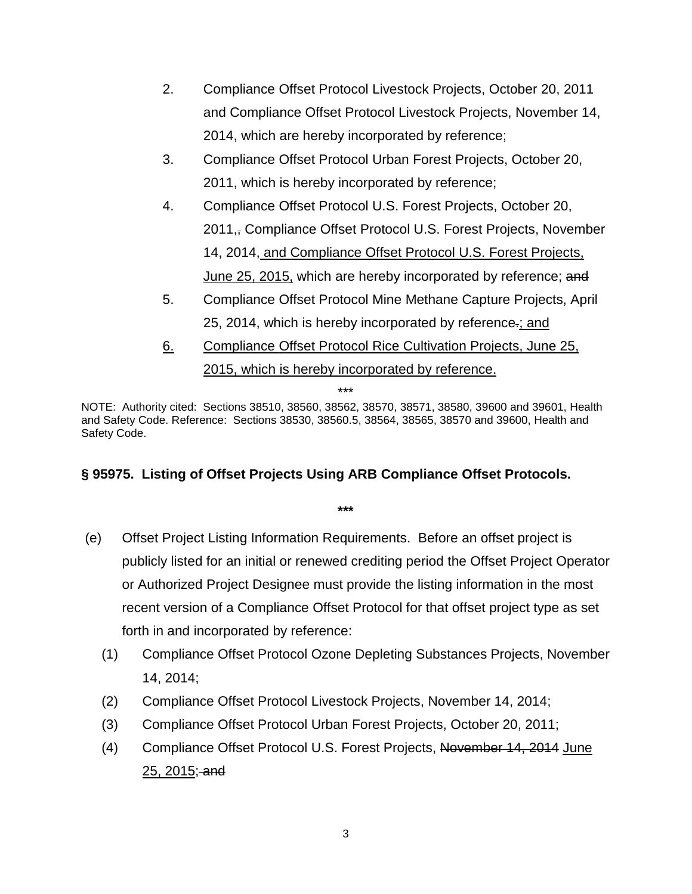- 2. Compliance Offset Protocol Livestock Projects, October 20, 2011 and Compliance Offset Protocol Livestock Projects, November 14, 2014, which are hereby incorporated by reference;
- 3. Compliance Offset Protocol Urban Forest Projects, October 20, 2011, which is hereby incorporated by reference;
- 4. Compliance Offset Protocol U.S. Forest Projects, October 20, 2011,, Compliance Offset Protocol U.S. Forest Projects, November 14, 2014, and Compliance Offset Protocol U.S. Forest Projects, June 25, 2015, which are hereby incorporated by reference; and
- 5. Compliance Offset Protocol Mine Methane Capture Projects, April 25, 2014, which is hereby incorporated by reference.; and
- 6. Compliance Offset Protocol Rice Cultivation Projects, June 25, 2015, which is hereby incorporated by reference.

NOTE: Authority cited: Sections 38510, 38560, 38562, 38570, 38571, 38580, 39600 and 39601, Health and Safety Code. Reference: Sections 38530, 38560.5, 38564, 38565, 38570 and 39600, Health and Safety Code.

### **§ 95975. Listing of Offset Projects Using ARB Compliance Offset Protocols.**

- (e) Offset Project Listing Information Requirements. Before an offset project is publicly listed for an initial or renewed crediting period the Offset Project Operator or Authorized Project Designee must provide the listing information in the most recent version of a Compliance Offset Protocol for that offset project type as set forth in and incorporated by reference:
	- (1) Compliance Offset Protocol Ozone Depleting Substances Projects, November 14, 2014;
	- (2) Compliance Offset Protocol Livestock Projects, November 14, 2014;
	- (3) Compliance Offset Protocol Urban Forest Projects, October 20, 2011;
	- (4) Compliance Offset Protocol U.S. Forest Projects, November 14, 2014 June 25, 2015; and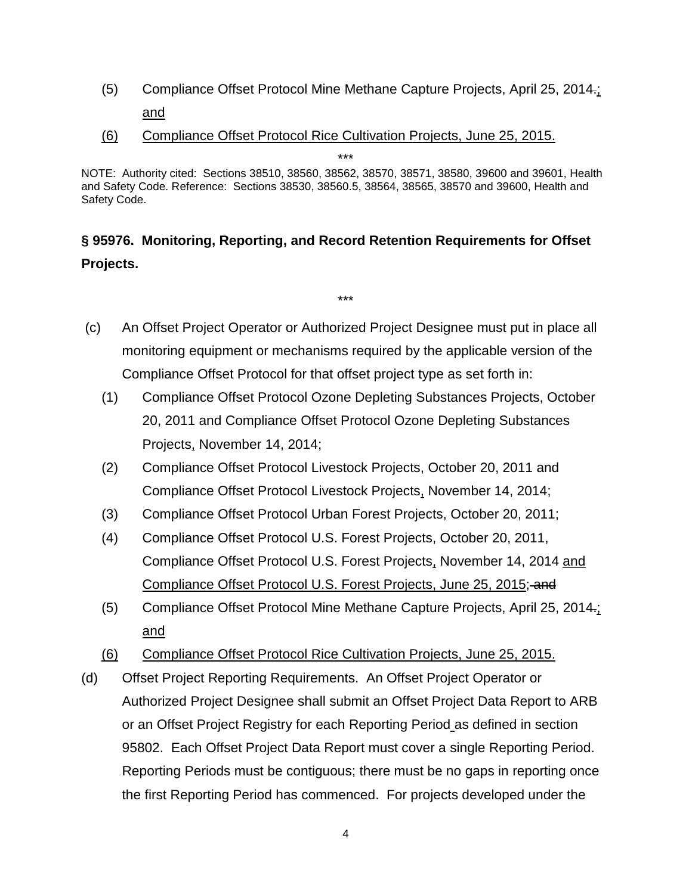- (5) Compliance Offset Protocol Mine Methane Capture Projects, April 25, 2014.; and
- (6) Compliance Offset Protocol Rice Cultivation Projects, June 25, 2015.

NOTE: Authority cited: Sections 38510, 38560, 38562, 38570, 38571, 38580, 39600 and 39601, Health and Safety Code. Reference: Sections 38530, 38560.5, 38564, 38565, 38570 and 39600, Health and Safety Code.

# **§ 95976. Monitoring, Reporting, and Record Retention Requirements for Offset Projects.**

(c) An Offset Project Operator or Authorized Project Designee must put in place all monitoring equipment or mechanisms required by the applicable version of the Compliance Offset Protocol for that offset project type as set forth in:

- (1) Compliance Offset Protocol Ozone Depleting Substances Projects, October 20, 2011 and Compliance Offset Protocol Ozone Depleting Substances Projects, November 14, 2014;
- (2) Compliance Offset Protocol Livestock Projects, October 20, 2011 and Compliance Offset Protocol Livestock Projects, November 14, 2014;
- (3) Compliance Offset Protocol Urban Forest Projects, October 20, 2011;
- (4) Compliance Offset Protocol U.S. Forest Projects, October 20, 2011, Compliance Offset Protocol U.S. Forest Projects, November 14, 2014 and Compliance Offset Protocol U.S. Forest Projects, June 25, 2015; and
- (5) Compliance Offset Protocol Mine Methane Capture Projects, April 25, 2014.; and
- (6) Compliance Offset Protocol Rice Cultivation Projects, June 25, 2015.
- (d) Offset Project Reporting Requirements. An Offset Project Operator or Authorized Project Designee shall submit an Offset Project Data Report to ARB or an Offset Project Registry for each Reporting Period as defined in section 95802. Each Offset Project Data Report must cover a single Reporting Period. Reporting Periods must be contiguous; there must be no gaps in reporting once the first Reporting Period has commenced. For projects developed under the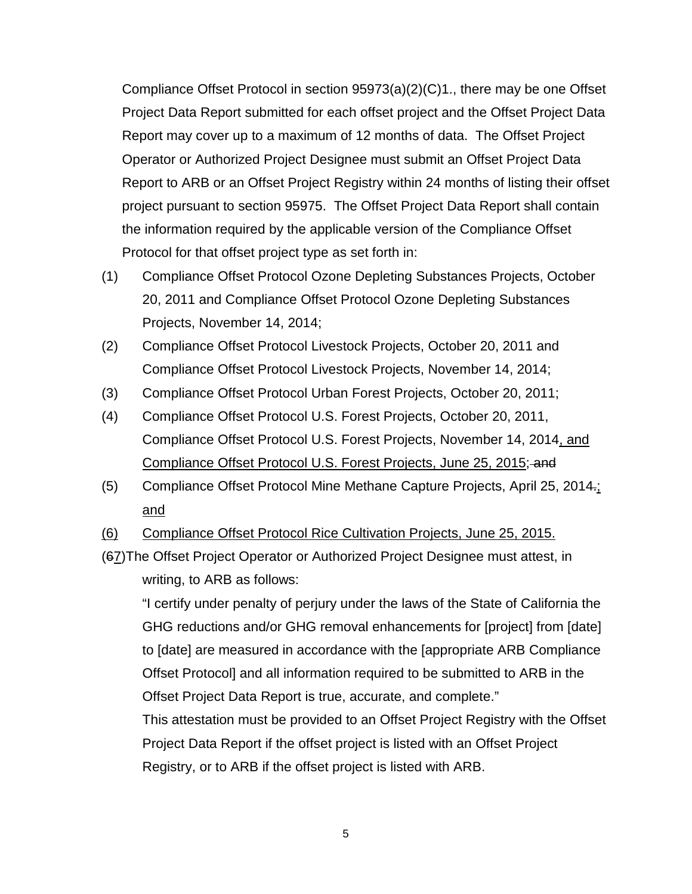Compliance Offset Protocol in section 95973(a)(2)(C)1., there may be one Offset Project Data Report submitted for each offset project and the Offset Project Data Report may cover up to a maximum of 12 months of data. The Offset Project Operator or Authorized Project Designee must submit an Offset Project Data Report to ARB or an Offset Project Registry within 24 months of listing their offset project pursuant to section 95975. The Offset Project Data Report shall contain the information required by the applicable version of the Compliance Offset Protocol for that offset project type as set forth in:

- (1) Compliance Offset Protocol Ozone Depleting Substances Projects, October 20, 2011 and Compliance Offset Protocol Ozone Depleting Substances Projects, November 14, 2014;
- (2) Compliance Offset Protocol Livestock Projects, October 20, 2011 and Compliance Offset Protocol Livestock Projects, November 14, 2014;
- (3) Compliance Offset Protocol Urban Forest Projects, October 20, 2011;
- (4) Compliance Offset Protocol U.S. Forest Projects, October 20, 2011, Compliance Offset Protocol U.S. Forest Projects, November 14, 2014, and Compliance Offset Protocol U.S. Forest Projects, June 25, 2015; and
- (5) Compliance Offset Protocol Mine Methane Capture Projects, April 25, 2014.; and
- (6) Compliance Offset Protocol Rice Cultivation Projects, June 25, 2015.
- (67)The Offset Project Operator or Authorized Project Designee must attest, in writing, to ARB as follows:

"I certify under penalty of perjury under the laws of the State of California the GHG reductions and/or GHG removal enhancements for [project] from [date] to [date] are measured in accordance with the [appropriate ARB Compliance Offset Protocol] and all information required to be submitted to ARB in the Offset Project Data Report is true, accurate, and complete." This attestation must be provided to an Offset Project Registry with the Offset Project Data Report if the offset project is listed with an Offset Project

Registry, or to ARB if the offset project is listed with ARB.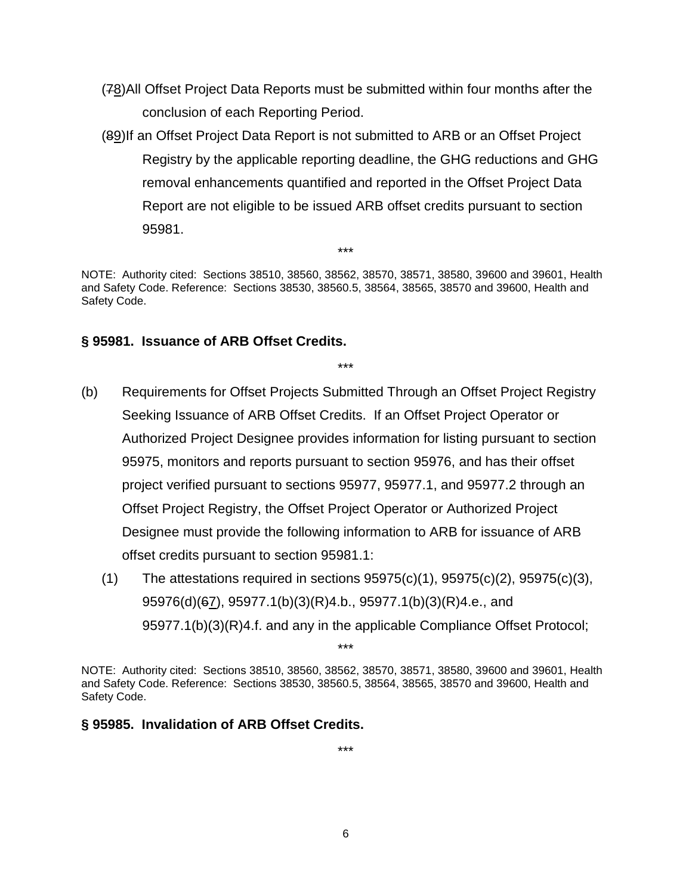- (78)All Offset Project Data Reports must be submitted within four months after the conclusion of each Reporting Period.
- (89)If an Offset Project Data Report is not submitted to ARB or an Offset Project Registry by the applicable reporting deadline, the GHG reductions and GHG removal enhancements quantified and reported in the Offset Project Data Report are not eligible to be issued ARB offset credits pursuant to section 95981.

\*\*\*

\*\*\*

### **§ 95981. Issuance of ARB Offset Credits.**

- (b) Requirements for Offset Projects Submitted Through an Offset Project Registry Seeking Issuance of ARB Offset Credits. If an Offset Project Operator or Authorized Project Designee provides information for listing pursuant to section 95975, monitors and reports pursuant to section 95976, and has their offset project verified pursuant to sections 95977, 95977.1, and 95977.2 through an Offset Project Registry, the Offset Project Operator or Authorized Project Designee must provide the following information to ARB for issuance of ARB offset credits pursuant to section 95981.1:
	- $(1)$  The attestations required in sections  $95975(c)(1)$ ,  $95975(c)(2)$ ,  $95975(c)(3)$ , 95976(d)(67), 95977.1(b)(3)(R)4.b., 95977.1(b)(3)(R)4.e., and 95977.1(b)(3)(R)4.f. and any in the applicable Compliance Offset Protocol;

NOTE: Authority cited: Sections 38510, 38560, 38562, 38570, 38571, 38580, 39600 and 39601, Health and Safety Code. Reference: Sections 38530, 38560.5, 38564, 38565, 38570 and 39600, Health and Safety Code.

\*\*\*

### **§ 95985. Invalidation of ARB Offset Credits.**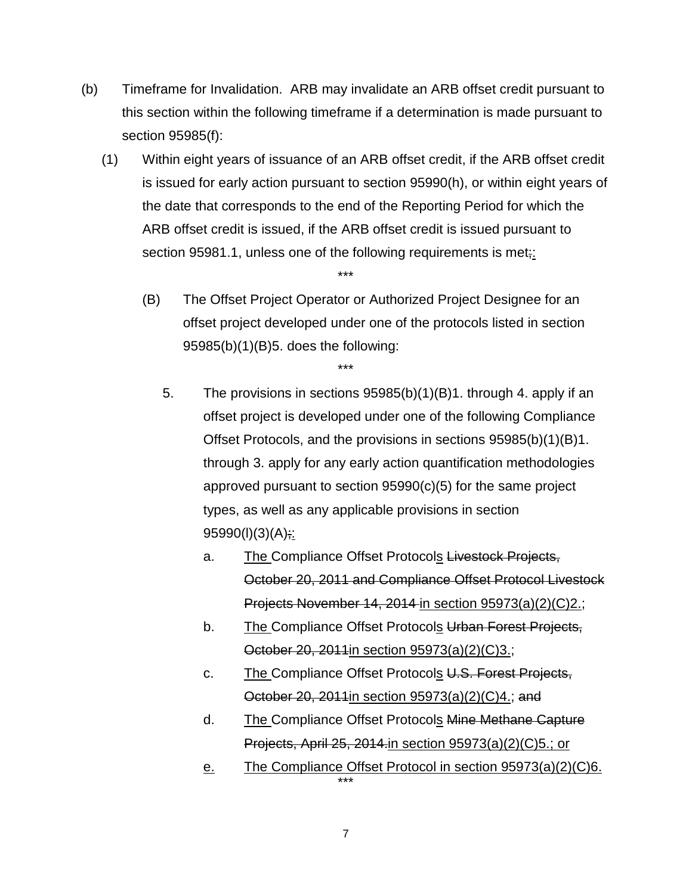- (b) Timeframe for Invalidation. ARB may invalidate an ARB offset credit pursuant to this section within the following timeframe if a determination is made pursuant to section 95985(f):
	- (1) Within eight years of issuance of an ARB offset credit, if the ARB offset credit is issued for early action pursuant to section 95990(h), or within eight years of the date that corresponds to the end of the Reporting Period for which the ARB offset credit is issued, if the ARB offset credit is issued pursuant to section 95981.1, unless one of the following requirements is met<sub>;</sub>

\*\*\*

(B) The Offset Project Operator or Authorized Project Designee for an offset project developed under one of the protocols listed in section 95985(b)(1)(B)5. does the following:

5. The provisions in sections 95985(b)(1)(B)1. through 4. apply if an offset project is developed under one of the following Compliance Offset Protocols, and the provisions in sections 95985(b)(1)(B)1. through 3. apply for any early action quantification methodologies approved pursuant to section 95990(c)(5) for the same project types, as well as any applicable provisions in section  $95990(l)(3)(A);$ 

- a. The Compliance Offset Protocols Livestock Projects, October 20, 2011 and Compliance Offset Protocol Livestock Projects November 14, 2014 in section 95973(a)(2)(C)2.;
- b. The Compliance Offset Protocols Urban Forest Projects, October 20, 2011in section 95973(a)(2)(C)3.;
- c. The Compliance Offset Protocols U.S. Forest Projects, October 20, 2011in section 95973(a)(2)(C)4.; and
- d. The Compliance Offset Protocols Mine Methane Capture Projects, April 25, 2014.in section 95973(a)(2)(C)5.; or
- e. The Compliance Offset Protocol in section 95973(a)(2)(C)6.

7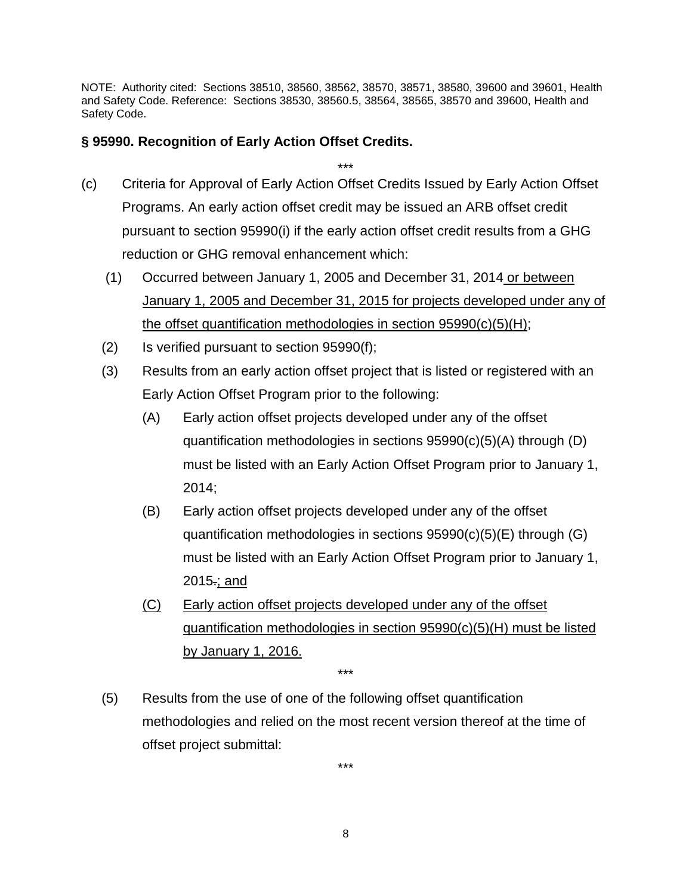### **§ 95990. Recognition of Early Action Offset Credits.**

- \*\*\* (c) Criteria for Approval of Early Action Offset Credits Issued by Early Action Offset Programs. An early action offset credit may be issued an ARB offset credit pursuant to section 95990(i) if the early action offset credit results from a GHG reduction or GHG removal enhancement which:
	- (1) Occurred between January 1, 2005 and December 31, 2014 or between January 1, 2005 and December 31, 2015 for projects developed under any of the offset quantification methodologies in section 95990(c)(5)(H);
	- (2) Is verified pursuant to section 95990(f);
	- (3) Results from an early action offset project that is listed or registered with an Early Action Offset Program prior to the following:
		- (A) Early action offset projects developed under any of the offset quantification methodologies in sections 95990(c)(5)(A) through (D) must be listed with an Early Action Offset Program prior to January 1, 2014;
		- (B) Early action offset projects developed under any of the offset quantification methodologies in sections 95990(c)(5)(E) through (G) must be listed with an Early Action Offset Program prior to January 1, 2015.; and
		- (C) Early action offset projects developed under any of the offset quantification methodologies in section 95990(c)(5)(H) must be listed by January 1, 2016.
	- (5) Results from the use of one of the following offset quantification methodologies and relied on the most recent version thereof at the time of offset project submittal:

\*\*\*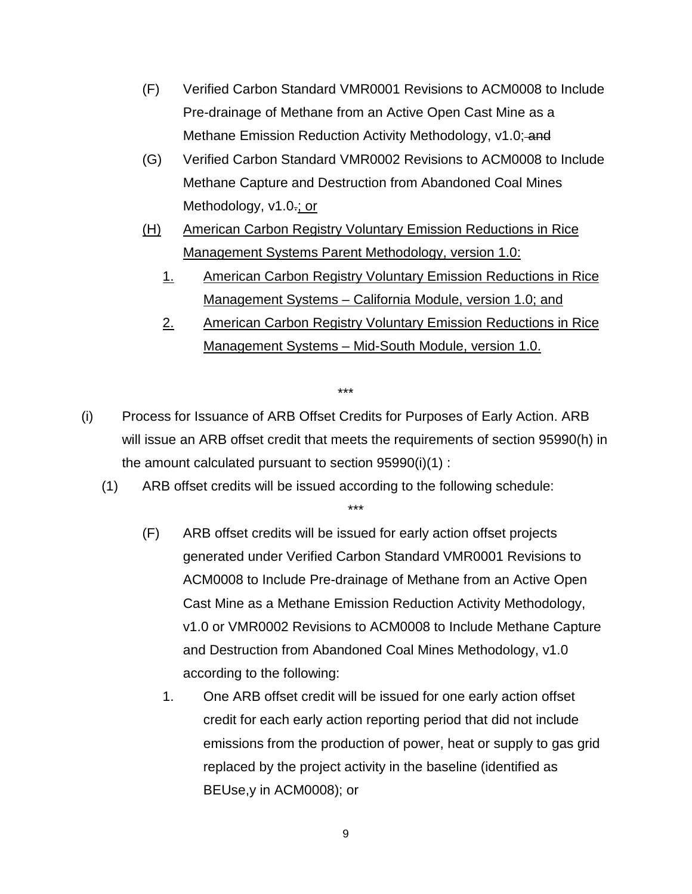- (F) Verified Carbon Standard VMR0001 Revisions to ACM0008 to Include Pre-drainage of Methane from an Active Open Cast Mine as a Methane Emission Reduction Activity Methodology, v1.0; and
- (G) Verified Carbon Standard VMR0002 Revisions to ACM0008 to Include Methane Capture and Destruction from Abandoned Coal Mines Methodology, v1.0.; or
- (H) American Carbon Registry Voluntary Emission Reductions in Rice Management Systems Parent Methodology, version 1.0:
	- 1. American Carbon Registry Voluntary Emission Reductions in Rice Management Systems - California Module, version 1.0; and
	- 2. American Carbon Registry Voluntary Emission Reductions in Rice Management Systems – Mid-South Module, version 1.0.

- (i) Process for Issuance of ARB Offset Credits for Purposes of Early Action. ARB will issue an ARB offset credit that meets the requirements of section 95990(h) in the amount calculated pursuant to section 95990(i)(1) :
	- (1) ARB offset credits will be issued according to the following schedule:

- (F) ARB offset credits will be issued for early action offset projects generated under Verified Carbon Standard VMR0001 Revisions to ACM0008 to Include Pre-drainage of Methane from an Active Open Cast Mine as a Methane Emission Reduction Activity Methodology, v1.0 or VMR0002 Revisions to ACM0008 to Include Methane Capture and Destruction from Abandoned Coal Mines Methodology, v1.0 according to the following:
	- 1. One ARB offset credit will be issued for one early action offset credit for each early action reporting period that did not include emissions from the production of power, heat or supply to gas grid replaced by the project activity in the baseline (identified as BEUse,y in ACM0008); or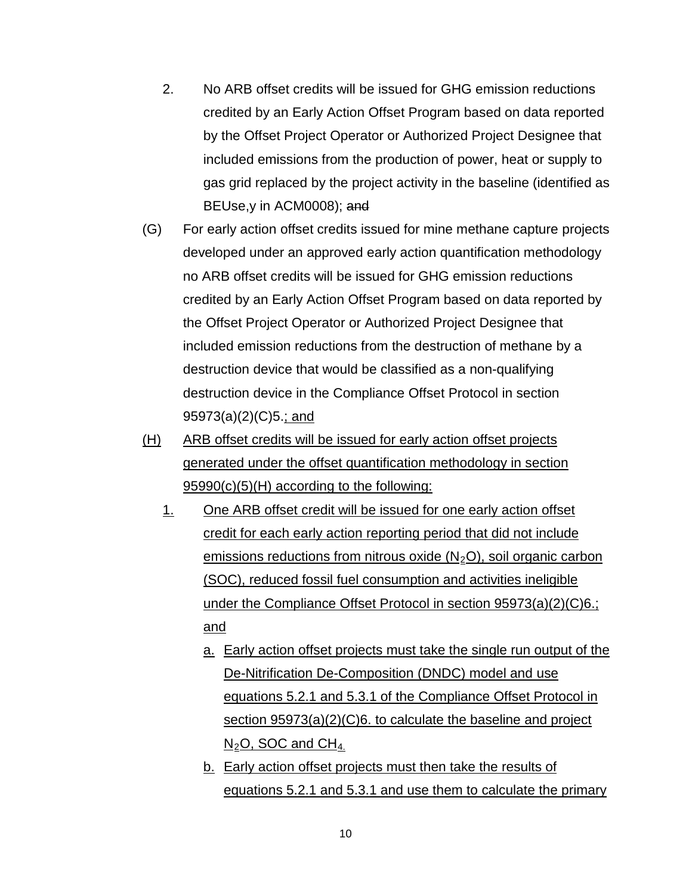- 2. No ARB offset credits will be issued for GHG emission reductions credited by an Early Action Offset Program based on data reported by the Offset Project Operator or Authorized Project Designee that included emissions from the production of power, heat or supply to gas grid replaced by the project activity in the baseline (identified as BEUse,y in ACM0008); and
- (G) For early action offset credits issued for mine methane capture projects developed under an approved early action quantification methodology no ARB offset credits will be issued for GHG emission reductions credited by an Early Action Offset Program based on data reported by the Offset Project Operator or Authorized Project Designee that included emission reductions from the destruction of methane by a destruction device that would be classified as a non-qualifying destruction device in the Compliance Offset Protocol in section 95973(a)(2)(C)5.; and
- (H) ARB offset credits will be issued for early action offset projects generated under the offset quantification methodology in section 95990(c)(5)(H) according to the following:
	- 1. One ARB offset credit will be issued for one early action offset credit for each early action reporting period that did not include emissions reductions from nitrous oxide  $(N_2O)$ , soil organic carbon (SOC), reduced fossil fuel consumption and activities ineligible under the Compliance Offset Protocol in section 95973(a)(2)(C)6.; and
		- a. Early action offset projects must take the single run output of the De-Nitrification De-Composition (DNDC) model and use equations 5.2.1 and 5.3.1 of the Compliance Offset Protocol in section 95973(a)(2)(C)6. to calculate the baseline and project  $N_2$ O, SOC and CH<sub>4.</sub>
		- b. Early action offset projects must then take the results of equations 5.2.1 and 5.3.1 and use them to calculate the primary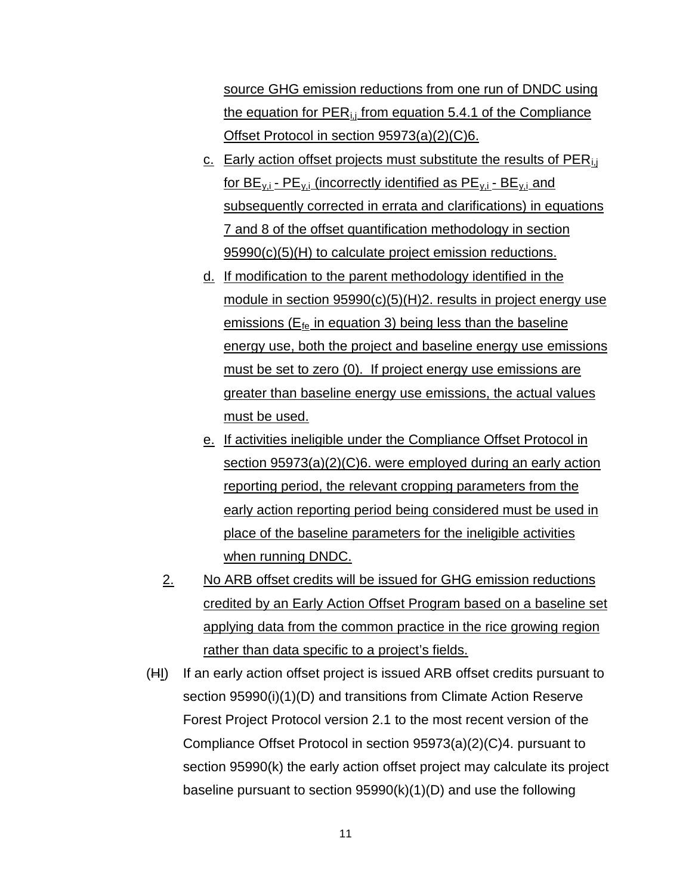source GHG emission reductions from one run of DNDC using the equation for  $PER_{i,j}$  from equation 5.4.1 of the Compliance Offset Protocol in section 95973(a)(2)(C)6.

- c. Early action offset projects must substitute the results of  $PER_{i,j}$ for  $BE_{y,i}$  -  $PE_{y,i}$  (incorrectly identified as  $PE_{y,i}$  -  $BE_{y,i}$  and subsequently corrected in errata and clarifications) in equations 7 and 8 of the offset quantification methodology in section 95990(c)(5)(H) to calculate project emission reductions.
- d. If modification to the parent methodology identified in the module in section 95990(c)(5)(H)2. results in project energy use emissions ( $E_{\text{fe}}$  in equation 3) being less than the baseline energy use, both the project and baseline energy use emissions must be set to zero (0). If project energy use emissions are greater than baseline energy use emissions, the actual values must be used.
- e. If activities ineligible under the Compliance Offset Protocol in section 95973(a)(2)(C)6. were employed during an early action reporting period, the relevant cropping parameters from the early action reporting period being considered must be used in place of the baseline parameters for the ineligible activities when running DNDC.
- 2. No ARB offset credits will be issued for GHG emission reductions credited by an Early Action Offset Program based on a baseline set applying data from the common practice in the rice growing region rather than data specific to a project's fields.
- (HI) If an early action offset project is issued ARB offset credits pursuant to section 95990(i)(1)(D) and transitions from Climate Action Reserve Forest Project Protocol version 2.1 to the most recent version of the Compliance Offset Protocol in section 95973(a)(2)(C)4. pursuant to section 95990(k) the early action offset project may calculate its project baseline pursuant to section 95990(k)(1)(D) and use the following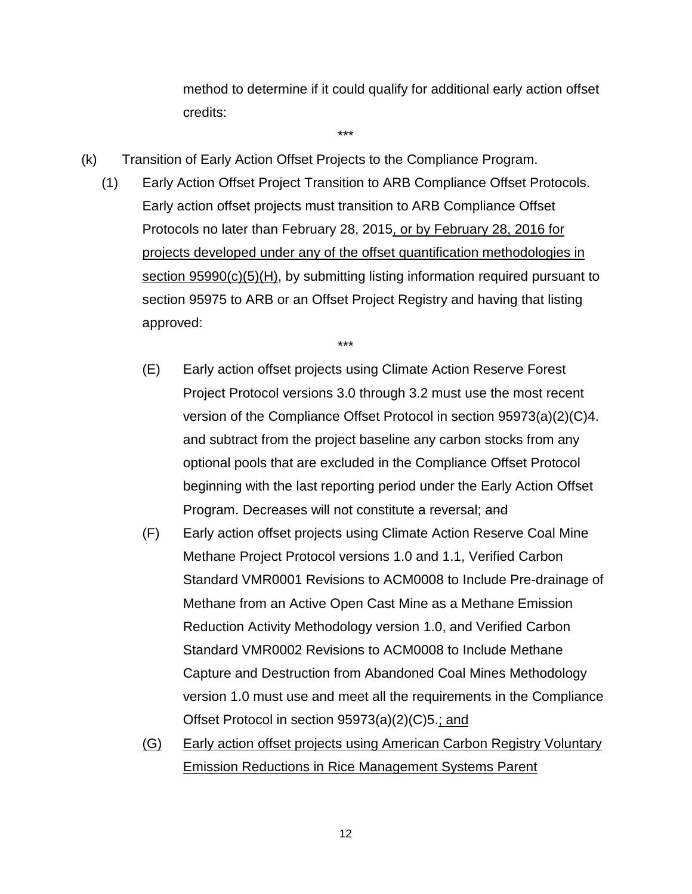method to determine if it could qualify for additional early action offset credits:

- (k) Transition of Early Action Offset Projects to the Compliance Program.
	- (1) Early Action Offset Project Transition to ARB Compliance Offset Protocols. Early action offset projects must transition to ARB Compliance Offset Protocols no later than February 28, 2015, or by February 28, 2016 for projects developed under any of the offset quantification methodologies in section 95990(c)(5)(H), by submitting listing information required pursuant to section 95975 to ARB or an Offset Project Registry and having that listing approved:

\*\*\*

- (E) Early action offset projects using Climate Action Reserve Forest Project Protocol versions 3.0 through 3.2 must use the most recent version of the Compliance Offset Protocol in section 95973(a)(2)(C)4. and subtract from the project baseline any carbon stocks from any optional pools that are excluded in the Compliance Offset Protocol beginning with the last reporting period under the Early Action Offset Program. Decreases will not constitute a reversal; and
- (F) Early action offset projects using Climate Action Reserve Coal Mine Methane Project Protocol versions 1.0 and 1.1, Verified Carbon Standard VMR0001 Revisions to ACM0008 to Include Pre-drainage of Methane from an Active Open Cast Mine as a Methane Emission Reduction Activity Methodology version 1.0, and Verified Carbon Standard VMR0002 Revisions to ACM0008 to Include Methane Capture and Destruction from Abandoned Coal Mines Methodology version 1.0 must use and meet all the requirements in the Compliance Offset Protocol in section 95973(a)(2)(C)5.; and
- (G) Early action offset projects using American Carbon Registry Voluntary Emission Reductions in Rice Management Systems Parent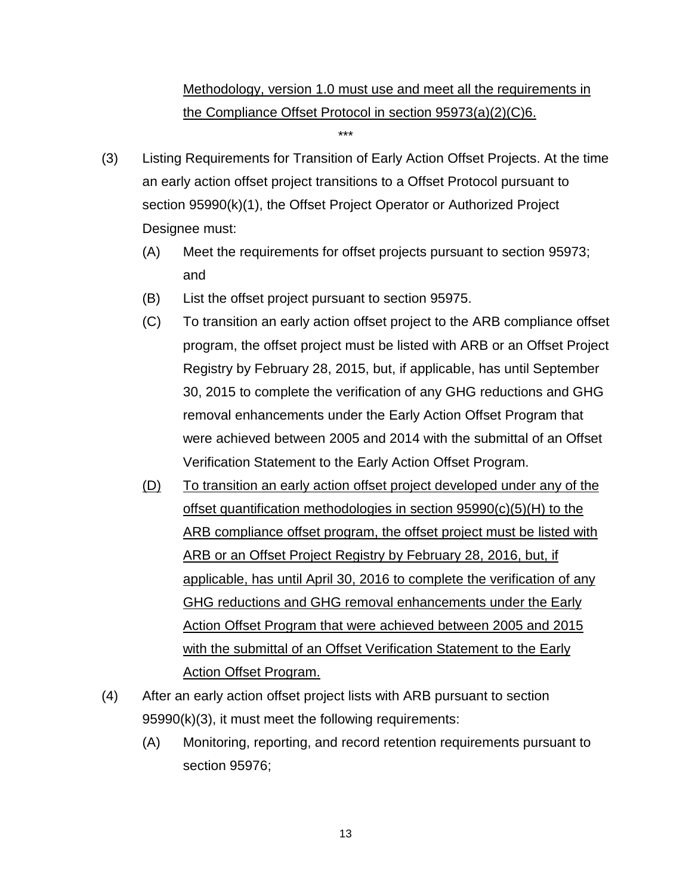# Methodology, version 1.0 must use and meet all the requirements in the Compliance Offset Protocol in section 95973(a)(2)(C)6.

- (3) Listing Requirements for Transition of Early Action Offset Projects. At the time an early action offset project transitions to a Offset Protocol pursuant to section 95990(k)(1), the Offset Project Operator or Authorized Project Designee must:
	- (A) Meet the requirements for offset projects pursuant to section 95973; and
	- (B) List the offset project pursuant to section 95975.
	- (C) To transition an early action offset project to the ARB compliance offset program, the offset project must be listed with ARB or an Offset Project Registry by February 28, 2015, but, if applicable, has until September 30, 2015 to complete the verification of any GHG reductions and GHG removal enhancements under the Early Action Offset Program that were achieved between 2005 and 2014 with the submittal of an Offset Verification Statement to the Early Action Offset Program.
	- (D) To transition an early action offset project developed under any of the offset quantification methodologies in section 95990(c)(5)(H) to the ARB compliance offset program, the offset project must be listed with ARB or an Offset Project Registry by February 28, 2016, but, if applicable, has until April 30, 2016 to complete the verification of any GHG reductions and GHG removal enhancements under the Early Action Offset Program that were achieved between 2005 and 2015 with the submittal of an Offset Verification Statement to the Early Action Offset Program.
- (4) After an early action offset project lists with ARB pursuant to section 95990(k)(3), it must meet the following requirements:
	- (A) Monitoring, reporting, and record retention requirements pursuant to section 95976;